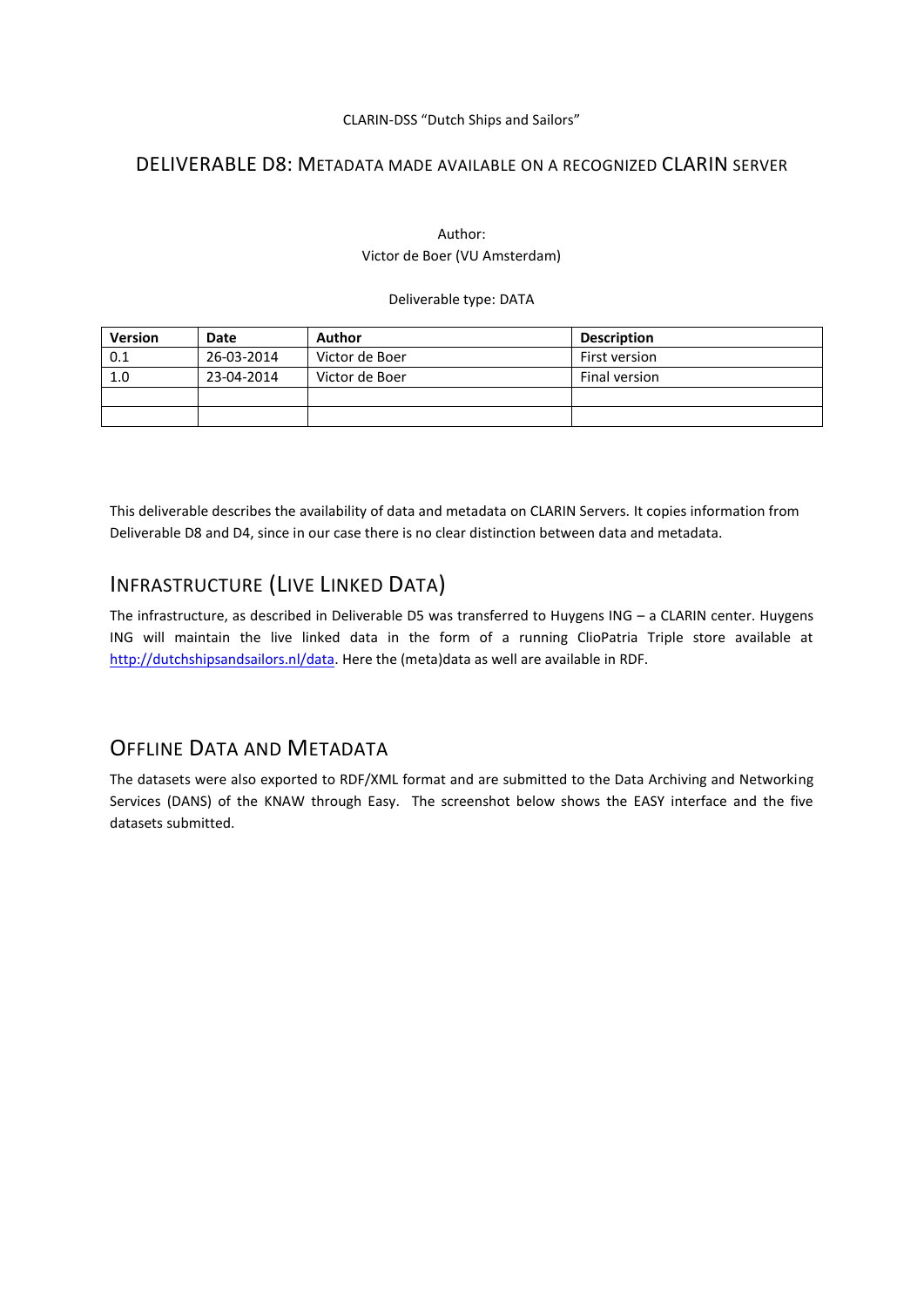#### CLARIN-DSS "Dutch Ships and Sailors"

### DELIVERABLE D8: METADATA MADE AVAILABLE ON A RECOGNIZED CLARIN SERVER

#### Author: Victor de Boer (VU Amsterdam)

#### Deliverable type: DATA

| <b>Version</b> | Date       | Author         | <b>Description</b> |
|----------------|------------|----------------|--------------------|
| 0.1            | 26-03-2014 | Victor de Boer | First version      |
| 1.0            | 23-04-2014 | Victor de Boer | Final version      |
|                |            |                |                    |
|                |            |                |                    |

This deliverable describes the availability of data and metadata on CLARIN Servers. It copies information from Deliverable D8 and D4, since in our case there is no clear distinction between data and metadata.

## INFRASTRUCTURE (LIVE LINKED DATA)

The infrastructure, as described in Deliverable D5 was transferred to Huygens ING – a CLARIN center. Huygens ING will maintain the live linked data in the form of a running ClioPatria Triple store available at [http://dutchshipsandsailors.nl/data.](http://dutchshipsandsailors.nl/data) Here the (meta)data as well are available in RDF.

### OFFLINE DATA AND METADATA

The datasets were also exported to RDF/XML format and are submitted to the Data Archiving and Networking Services (DANS) of the KNAW through Easy. The screenshot below shows the EASY interface and the five datasets submitted.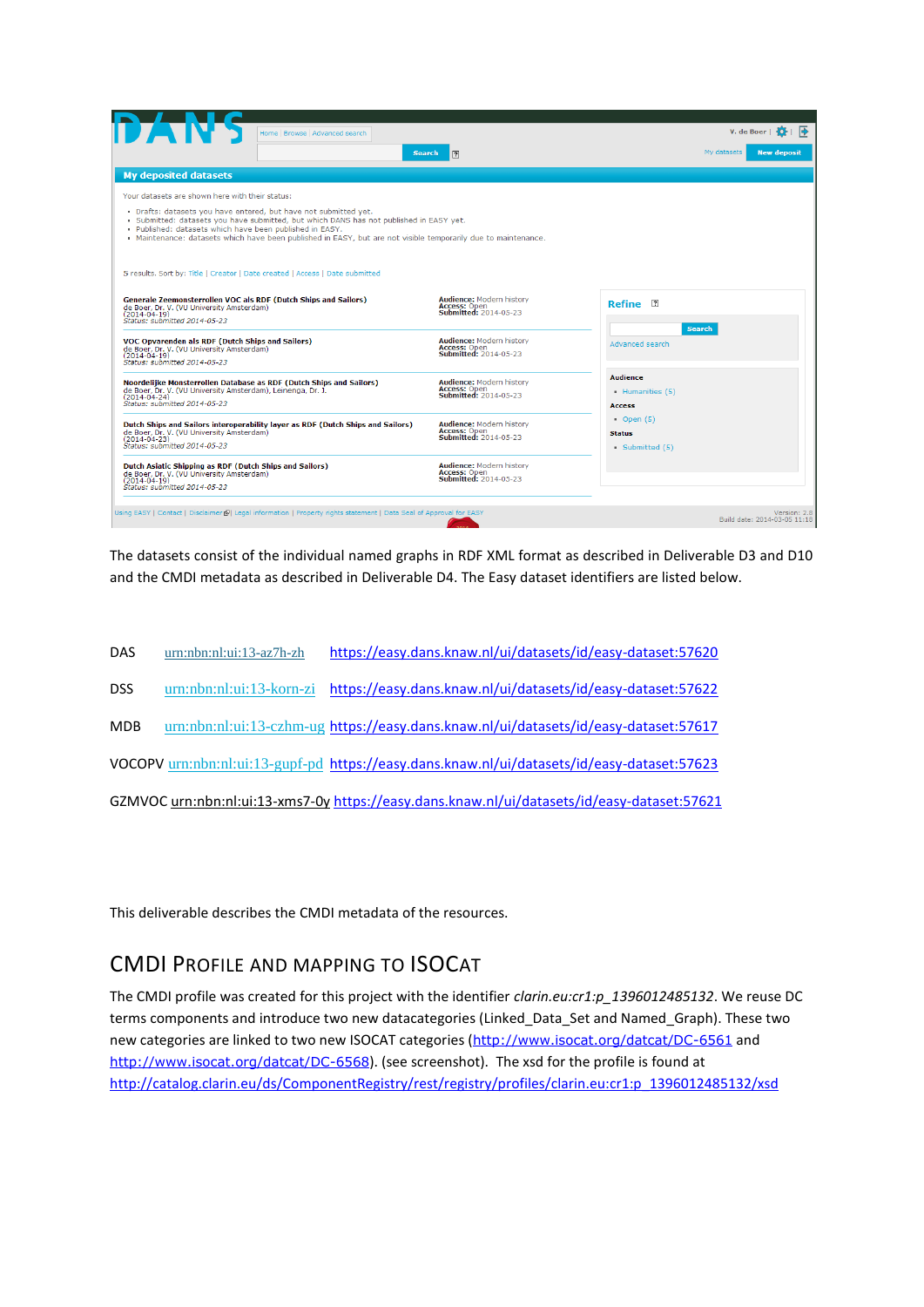| ITAN<br>Home   Browse   Advanced search                                                                                                                                                                                                                                                                                                   |                                                                                        | V. de Boer $\overline{O}$                            |
|-------------------------------------------------------------------------------------------------------------------------------------------------------------------------------------------------------------------------------------------------------------------------------------------------------------------------------------------|----------------------------------------------------------------------------------------|------------------------------------------------------|
| <b>Search</b>                                                                                                                                                                                                                                                                                                                             | $\sqrt{2}$                                                                             | My datasets<br><b>New deposit</b>                    |
| <b>My deposited datasets</b>                                                                                                                                                                                                                                                                                                              |                                                                                        |                                                      |
| Your datasets are shown here with their status:                                                                                                                                                                                                                                                                                           |                                                                                        |                                                      |
| . Drafts: datasets you have entered, but have not submitted yet.<br>. Submitted: datasets you have submitted, but which DANS has not published in EASY yet.<br>. Published: datasets which have been published in EASY.<br>. Maintenance: datasets which have been published in EASY, but are not visible temporarily due to maintenance. |                                                                                        |                                                      |
| 5 results. Sort by: Title   Creator   Date created   Access   Date submitted                                                                                                                                                                                                                                                              |                                                                                        |                                                      |
| Generale Zeemonsterrollen VOC als RDF (Dutch Ships and Sailors)<br>de Boer, Dr. V. (VU University Amsterdam)<br>$(2014 - 04 - 19)$<br>Status: submitted 2014-05-23                                                                                                                                                                        | <b>Audience: Modern history</b><br><b>Access: Open</b><br><b>Submitted: 2014-05-23</b> | Refine 2<br><b>Search</b>                            |
| VOC Opvarenden als RDF (Dutch Ships and Sailors)<br>de Boer, Dr. V. (VU University Amsterdam)<br>$(2014 - 04 - 19)$<br>Status: submitted 2014-05-23                                                                                                                                                                                       | <b>Audience: Modern history</b><br>Access: Open<br><b>Submitted: 2014-05-23</b>        | Advanced search                                      |
| Noordelijke Monsterrollen Database as RDF (Dutch Ships and Sailors)<br>de Boer, Dr. V. (VU University Amsterdam), Leinenga, Dr. J.<br>$(2014 - 04 - 24)$<br>Status: submitted 2014-05-23                                                                                                                                                  | <b>Audience: Modern history</b><br>Access: Open<br>Submitted: 2014-05-23               | <b>Audience</b><br>Humanities (5)<br><b>Access</b>   |
| Dutch Ships and Sailors interoperability layer as RDF (Dutch Ships and Sailors)<br>de Boer, Dr. V. (VU University Amsterdam)<br>$(2014 - 04 - 23)$<br>Status: submitted 2014-05-23                                                                                                                                                        | <b>Audience: Modern history</b><br>Access: Open<br><b>Submitted: 2014-05-23</b>        | $\bullet$ Open (5)<br><b>Status</b><br>Submitted (5) |
| <b>Dutch Asiatic Shipping as RDF (Dutch Ships and Sailors)</b><br>de Boer, Dr. V. (VU University Amsterdam)<br>$(2014 - 04 - 19)$<br>Status: submitted 2014-05-23                                                                                                                                                                         | <b>Audience: Modern history</b><br>Access: Open<br><b>Submitted: 2014-05-23</b>        |                                                      |
| Using EASY   Contact   Disclaimer@  Legal information   Property rights statement   Data Seal of Approval for EASY                                                                                                                                                                                                                        |                                                                                        | Version: 2.8<br>Build date: 2014-03-05 11:18         |

The datasets consist of the individual named graphs in RDF XML format as described in Deliverable D3 and D10 and the CMDI metadata as described in Deliverable D4. The Easy dataset identifiers are listed below.

| <b>DAS</b> | $urn: nbn: n1: u1: 13 - az7h-zh$ | https://easy.dans.knaw.nl/ui/datasets/id/easy-dataset:57620                                 |
|------------|----------------------------------|---------------------------------------------------------------------------------------------|
| <b>DSS</b> |                                  | urn:nbn:nl:ui:13-korn-zi https://easy.dans.knaw.nl/ui/datasets/id/easy-dataset:57622        |
| <b>MDB</b> |                                  | urn:nbn:nl:ui:13-czhm-ug https://easy.dans.knaw.nl/ui/datasets/id/easy-dataset:57617        |
|            |                                  | VOCOPV urn:nbn:nl:ui:13-gupf-pd https://easy.dans.knaw.nl/ui/datasets/id/easy-dataset:57623 |
|            |                                  | GZMVOC urn:nbn:nl:ui:13-xms7-0y https://easy.dans.knaw.nl/ui/datasets/id/easy-dataset:57621 |

This deliverable describes the CMDI metadata of the resources.

### CMDI PROFILE AND MAPPING TO ISOCAT

The CMDI profile was created for this project with the identifier *clarin.eu:cr1:p\_1396012485132*. We reuse DC terms components and introduce two new datacategories (Linked\_Data\_Set and Named\_Graph). These two new categories are linked to two new ISOCAT categories (<http://www.isocat.org/datcat/DC-6561> and <http://www.isocat.org/datcat/DC-6568>). (see screenshot). The xsd for the profile is found at [http://catalog.clarin.eu/ds/ComponentRegistry/rest/registry/profiles/clarin.eu:cr1:p\\_1396012485132/xsd](http://catalog.clarin.eu/ds/ComponentRegistry/rest/registry/profiles/clarin.eu:cr1:p_1396012485132/xsd)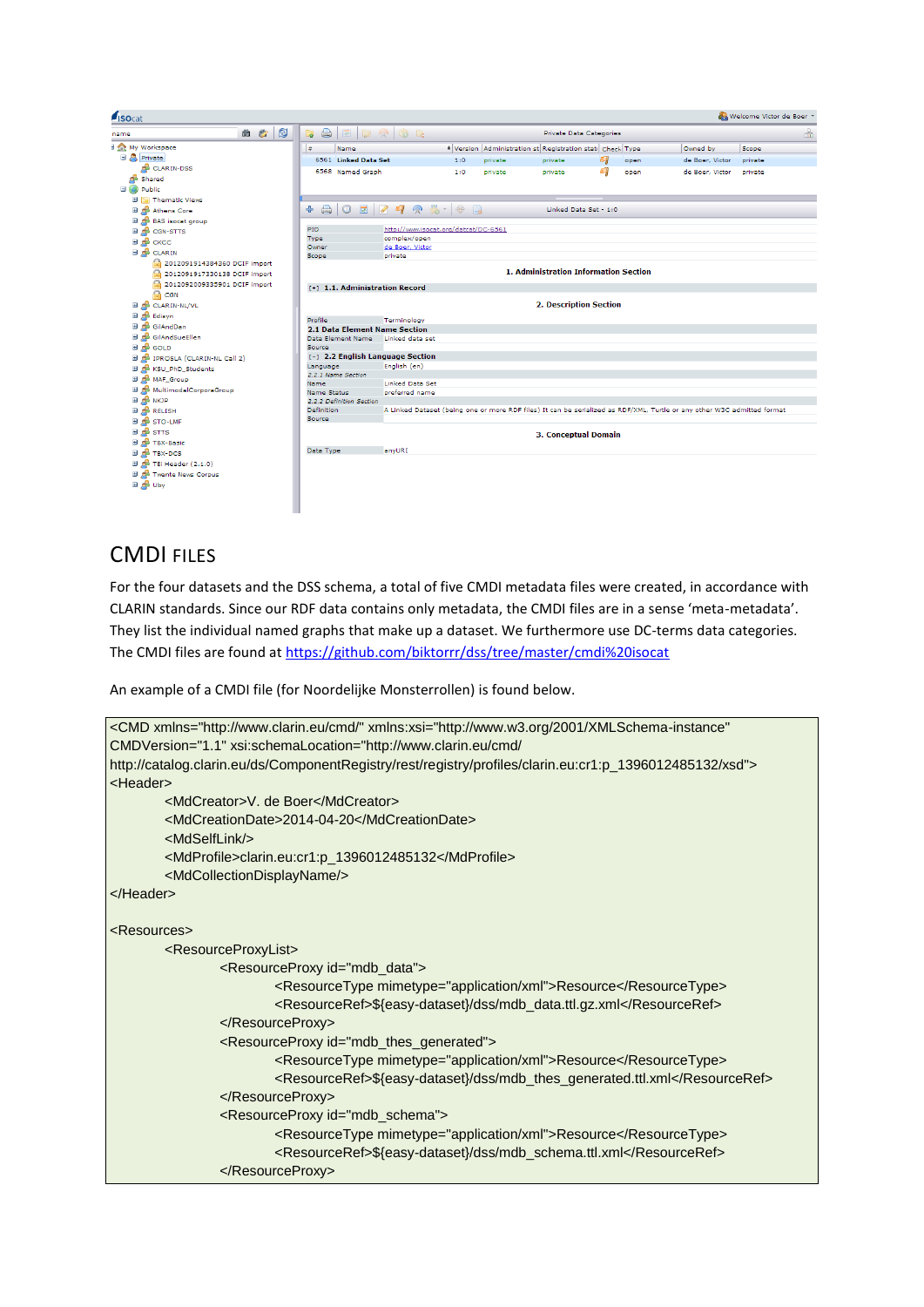| <i><b>SOcat</b></i>                     |                                                                             |                                      |                 |         |                                                           |                       |      |                                                                                                                         | Welcome Victor de Boer |
|-----------------------------------------|-----------------------------------------------------------------------------|--------------------------------------|-----------------|---------|-----------------------------------------------------------|-----------------------|------|-------------------------------------------------------------------------------------------------------------------------|------------------------|
| R<br>唿<br>曲<br>name                     | $\qquad \qquad \qquad \qquad \qquad \qquad \qquad$<br>$\mathbb{E}$ 20<br>E. | GE                                   |                 |         | <b>Private Data Categories</b>                            |                       |      |                                                                                                                         | $\sqrt{10}$            |
| Int My Workspace                        | $\bullet$<br>Name                                                           |                                      |                 |         | * Version Administration st Registration stati Check Type |                       |      | Owned by                                                                                                                | Scope                  |
| <b>B</b> Private                        | 6561 Linked Data Set                                                        |                                      | 1:0             | private | private                                                   | C)                    | open | de Boer, Victor                                                                                                         | private                |
| CLARIN-DSS                              | 6568 Named Graph                                                            |                                      | 1:0             | private | private                                                   | 61                    | open | de Boer, Victor                                                                                                         | private                |
| Shared                                  |                                                                             |                                      |                 |         |                                                           |                       |      |                                                                                                                         |                        |
| <b>El (A)</b> Public                    |                                                                             |                                      |                 |         |                                                           |                       |      |                                                                                                                         |                        |
| <b>El Thematic Views</b>                |                                                                             |                                      |                 |         |                                                           |                       |      |                                                                                                                         |                        |
| Athens Core<br>Œ                        | A<br>$\circledcirc$<br>展<br>4                                               | $\frac{90}{20}$ -<br>凰<br>$\bullet$  | $\circ$ $\circ$ |         |                                                           | Linked Data Set - 1:0 |      |                                                                                                                         |                        |
| <b>B</b> co BAS isocat group            |                                                                             |                                      |                 |         |                                                           |                       |      |                                                                                                                         |                        |
| <b>EL AB</b> CGN-STTS                   | PID                                                                         | http://www.isocat.org/datcat/DC-6561 |                 |         |                                                           |                       |      |                                                                                                                         |                        |
| ⊞ дВ сксс                               | Type<br>Owner                                                               | complex/open                         |                 |         |                                                           |                       |      |                                                                                                                         |                        |
| <b>EL OB</b> CLARIN                     | Scope                                                                       | de Boer, Victor<br>private           |                 |         |                                                           |                       |      |                                                                                                                         |                        |
| A<br>2012091914384360 DCIF import       |                                                                             |                                      |                 |         |                                                           |                       |      |                                                                                                                         |                        |
| A<br>2012091917330138 DCIF import       |                                                                             |                                      |                 |         | 1. Administration Information Section                     |                       |      |                                                                                                                         |                        |
| A<br>2012092009335901 DCIF import       | [+] 1.1. Administration Record                                              |                                      |                 |         |                                                           |                       |      |                                                                                                                         |                        |
| ଈ<br>CGN                                |                                                                             |                                      |                 |         |                                                           |                       |      |                                                                                                                         |                        |
| E CLARIN-NL/VL                          |                                                                             |                                      |                 |         | <b>2. Description Section</b>                             |                       |      |                                                                                                                         |                        |
| <b>El de</b> Edisyn                     |                                                                             |                                      |                 |         |                                                           |                       |      |                                                                                                                         |                        |
| <b>El de</b> GilAndDan                  | Profile<br><b>2.1 Data Element Name Section</b>                             | Terminology                          |                 |         |                                                           |                       |      |                                                                                                                         |                        |
| GilAndSueEllen                          | Data Element Name                                                           | Linked data set                      |                 |         |                                                           |                       |      |                                                                                                                         |                        |
| $\mathbf{B}$ of $\mathbf{B}$ GOLD       | Source                                                                      |                                      |                 |         |                                                           |                       |      |                                                                                                                         |                        |
| <b>EL AB IPROSLA (CLARIN-NL Call 2)</b> | [-] 2.2 English Language Section                                            |                                      |                 |         |                                                           |                       |      |                                                                                                                         |                        |
| <b>El de KSU PhD Students</b>           | Language                                                                    | English (en)                         |                 |         |                                                           |                       |      |                                                                                                                         |                        |
| <b>EL ON MAF_Group</b>                  | 2.2.1 Name Section                                                          |                                      |                 |         |                                                           |                       |      |                                                                                                                         |                        |
| <b>El de</b> MultimodalCorporaGroup     | Name                                                                        | <b>Linked Data Set</b>               |                 |         |                                                           |                       |      |                                                                                                                         |                        |
| <b>EL OR</b> NKJP                       | <b>Name Status</b><br>2.2.2 Definition Section                              | preferred name                       |                 |         |                                                           |                       |      |                                                                                                                         |                        |
| <b>EL OB RELISH</b>                     | Definition                                                                  |                                      |                 |         |                                                           |                       |      | A Linked Dataset (being one or more RDF files) It can be serialized as RDF/XML, Turtle or any other W3C admitted format |                        |
| <b>EL AB STO-LMF</b>                    | Source                                                                      |                                      |                 |         |                                                           |                       |      |                                                                                                                         |                        |
| ⊞ d <sup>8</sup> st⊤s                   |                                                                             |                                      |                 |         |                                                           |                       |      |                                                                                                                         |                        |
| <b>EL AB TBX-Basic</b>                  |                                                                             |                                      |                 |         | <b>3. Conceptual Domain</b>                               |                       |      |                                                                                                                         |                        |
| <b>EL AB TBX-DCS</b>                    | Data Type                                                                   | anyURI                               |                 |         |                                                           |                       |      |                                                                                                                         |                        |
| <b>El de</b> TEi Header (2.1.0)         |                                                                             |                                      |                 |         |                                                           |                       |      |                                                                                                                         |                        |
|                                         |                                                                             |                                      |                 |         |                                                           |                       |      |                                                                                                                         |                        |
| <b>El de</b> Twente News Corpus         |                                                                             |                                      |                 |         |                                                           |                       |      |                                                                                                                         |                        |
| <b>EL AB Uby</b>                        |                                                                             |                                      |                 |         |                                                           |                       |      |                                                                                                                         |                        |
|                                         |                                                                             |                                      |                 |         |                                                           |                       |      |                                                                                                                         |                        |
|                                         |                                                                             |                                      |                 |         |                                                           |                       |      |                                                                                                                         |                        |

# CMDI FILES

For the four datasets and the DSS schema, a total of five CMDI metadata files were created, in accordance with CLARIN standards. Since our RDF data contains only metadata, the CMDI files are in a sense 'meta-metadata'. They list the individual named graphs that make up a dataset. We furthermore use DC-terms data categories. The CMDI files are found at<https://github.com/biktorrr/dss/tree/master/cmdi%20isocat>

An example of a CMDI file (for Noordelijke Monsterrollen) is found below.

```
<CMD xmlns="http://www.clarin.eu/cmd/" xmlns:xsi="http://www.w3.org/2001/XMLSchema-instance" 
CMDVersion="1.1" xsi:schemaLocation="http://www.clarin.eu/cmd/ 
http://catalog.clarin.eu/ds/ComponentRegistry/rest/registry/profiles/clarin.eu:cr1:p_1396012485132/xsd">
<Header>
        <MdCreator>V. de Boer</MdCreator>
        <MdCreationDate>2014-04-20</MdCreationDate>
        <MdSelfLink/>
        <MdProfile>clarin.eu:cr1:p_1396012485132</MdProfile>
        <MdCollectionDisplayName/>
</Header>
<Resources>
        <ResourceProxyList>
                <ResourceProxy id="mdb_data">
                        <ResourceType mimetype="application/xml">Resource</ResourceType>
                        <ResourceRef>${easy-dataset}/dss/mdb_data.ttl.gz.xml</ResourceRef>
                </ResourceProxy>
                <ResourceProxy id="mdb_thes_generated">
                        <ResourceType mimetype="application/xml">Resource</ResourceType>
                        <ResourceRef>${easy-dataset}/dss/mdb_thes_generated.ttl.xml</ResourceRef>
                </ResourceProxy>
                <ResourceProxy id="mdb_schema">
                        <ResourceType mimetype="application/xml">Resource</ResourceType>
                        <ResourceRef>${easy-dataset}/dss/mdb_schema.ttl.xml</ResourceRef>
                </ResourceProxy>
```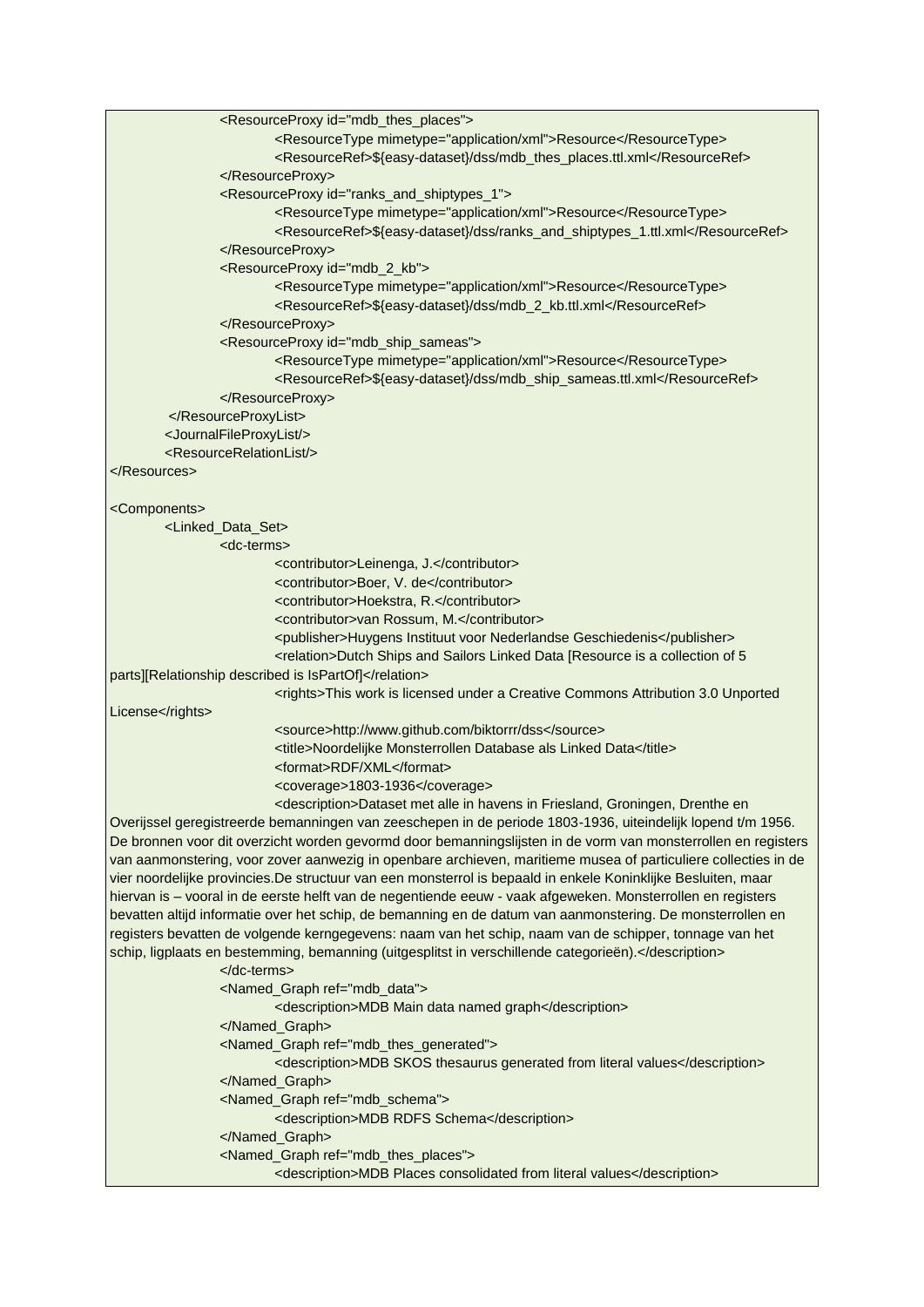| <resourceproxy id="mdb_thes_places"></resourceproxy>                                                           |
|----------------------------------------------------------------------------------------------------------------|
| <resourcetype mimetype="application/xml">Resource</resourcetype>                                               |
| <resourceref>\${easy-dataset}/dss/mdb_thes_places.ttl.xml</resourceref>                                        |
|                                                                                                                |
| <resourceproxy id="ranks_and_shiptypes_1"></resourceproxy>                                                     |
| <resourcetype mimetype="application/xml">Resource</resourcetype>                                               |
| <resourceref>\${easy-dataset}/dss/ranks_and_shiptypes_1.ttl.xml</resourceref>                                  |
|                                                                                                                |
| <resourceproxy id="mdb_2_kb"></resourceproxy>                                                                  |
| <resourcetype mimetype="application/xml">Resource</resourcetype>                                               |
| <resourceref>\${easy-dataset}/dss/mdb_2_kb.ttl.xml</resourceref>                                               |
|                                                                                                                |
| <resourceproxy id="mdb_ship_sameas"></resourceproxy>                                                           |
| <resourcetype mimetype="application/xml">Resource</resourcetype>                                               |
| <resourceref>\${easy-dataset}/dss/mdb_ship_sameas.ttl.xml</resourceref>                                        |
|                                                                                                                |
|                                                                                                                |
| <journalfileproxylist></journalfileproxylist>                                                                  |
| <resourcerelationlist></resourcerelationlist>                                                                  |
|                                                                                                                |
|                                                                                                                |
|                                                                                                                |
| <components></components>                                                                                      |
| <linked_data_set></linked_data_set>                                                                            |
| <dc-terms></dc-terms>                                                                                          |
| <contributor>Leinenga, J.</contributor>                                                                        |
| <contributor>Boer, V. de</contributor>                                                                         |
| <contributor>Hoekstra, R.</contributor>                                                                        |
| <contributor>van Rossum, M.</contributor>                                                                      |
| <publisher>Huygens Instituut voor Nederlandse Geschiedenis</publisher>                                         |
| <relation>Dutch Ships and Sailors Linked Data [Resource is a collection of 5</relation>                        |
| parts][Relationship described is IsPartOf]                                                                     |
| <rights>This work is licensed under a Creative Commons Attribution 3.0 Unported</rights>                       |
| License                                                                                                        |
| <source/> http://www.github.com/biktorrr/dss                                                                   |
| <title>Noordelijke Monsterrollen Database als Linked Data</title>                                              |
| <format>RDF/XML</format>                                                                                       |
| <coverage>1803-1936</coverage>                                                                                 |
| <description>Dataset met alle in havens in Friesland, Groningen, Drenthe en</description>                      |
| Overijssel geregistreerde bemanningen van zeeschepen in de periode 1803-1936, uiteindelijk lopend t/m 1956.    |
| De bronnen voor dit overzicht worden gevormd door bemanningslijsten in de vorm van monsterrollen en registers  |
| van aanmonstering, voor zover aanwezig in openbare archieven, maritieme musea of particuliere collecties in de |
| vier noordelijke provincies.De structuur van een monsterrol is bepaald in enkele Koninklijke Besluiten, maar   |
| hiervan is - vooral in de eerste helft van de negentiende eeuw - vaak afgeweken. Monsterrollen en registers    |
| bevatten altijd informatie over het schip, de bemanning en de datum van aanmonstering. De monsterrollen en     |
| registers bevatten de volgende kerngegevens: naam van het schip, naam van de schipper, tonnage van het         |
| schip, ligplaats en bestemming, bemanning (uitgesplitst in verschillende categorieën).                         |
| $<$ /dc-terms>                                                                                                 |
| <named_graph ref="mdb_data"></named_graph>                                                                     |
| <description>MDB Main data named graph</description>                                                           |
|                                                                                                                |
| <named_graph ref="mdb_thes_generated"></named_graph>                                                           |
| <description>MDB SKOS thesaurus generated from literal values</description>                                    |
|                                                                                                                |
| <named_graph ref="mdb_schema"></named_graph>                                                                   |
| <description>MDB RDFS Schema</description>                                                                     |
|                                                                                                                |
| <named_graph ref="mdb_thes_places"></named_graph>                                                              |
| <description>MDB Places consolidated from literal values</description>                                         |
|                                                                                                                |